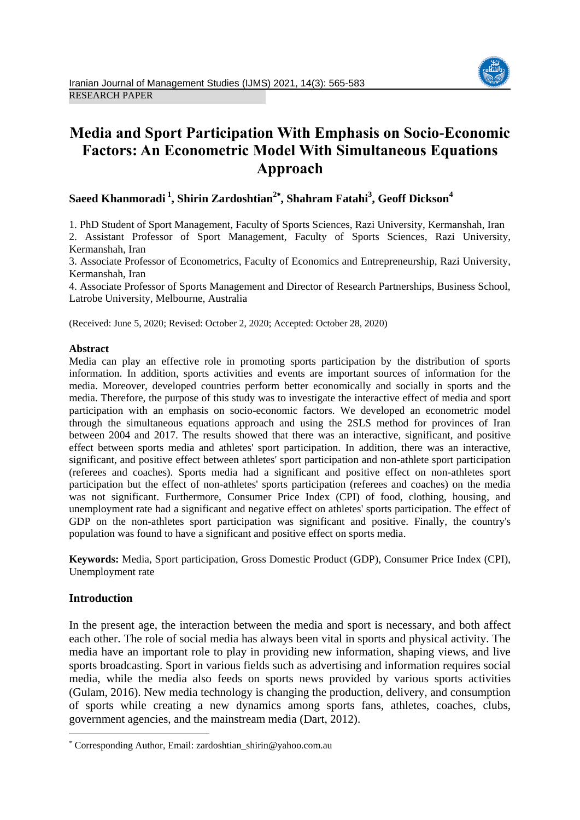

# **Media and Sport Participation With Emphasis on Socio-Economic Factors: An Econometric Model With Simultaneous Equations Approach**

# **Saeed Khanmoradi <sup>1</sup> , Shirin Zardoshtian<sup>2</sup> , Shahram Fatahi<sup>3</sup> , Geoff Dickson<sup>4</sup>**

1. PhD Student of Sport Management, Faculty of Sports Sciences, Razi University, Kermanshah, Iran 2. Assistant Professor of Sport Management, Faculty of Sports Sciences, Razi University,

Kermanshah, Iran

3. Associate Professor of Econometrics, Faculty of Economics and Entrepreneurship, Razi University, Kermanshah, Iran

4. Associate Professor of Sports Management and Director of Research Partnerships, Business School, Latrobe University, Melbourne, Australia

(Received: June 5, 2020; Revised: October 2, 2020; Accepted: October 28, 2020)

# **Abstract**

Media can play an effective role in promoting sports participation by the distribution of sports information. In addition, sports activities and events are important sources of information for the media. Moreover, developed countries perform better economically and socially in sports and the media. Therefore, the purpose of this study was to investigate the interactive effect of media and sport participation with an emphasis on socio-economic factors. We developed an econometric model through the simultaneous equations approach and using the 2SLS method for provinces of Iran between 2004 and 2017. The results showed that there was an interactive, significant, and positive effect between sports media and athletes' sport participation. In addition, there was an interactive, significant, and positive effect between athletes' sport participation and non-athlete sport participation (referees and coaches). Sports media had a significant and positive effect on non-athletes sport participation but the effect of non-athletes' sports participation (referees and coaches) on the media was not significant. Furthermore, Consumer Price Index (CPI) of food, clothing, housing, and unemployment rate had a significant and negative effect on athletes' sports participation. The effect of GDP on the non-athletes sport participation was significant and positive. Finally, the country's population was found to have a significant and positive effect on sports media.

**Keywords:** Media, Sport participation, Gross Domestic Product (GDP), Consumer Price Index (CPI), Unemployment rate

# **Introduction**

1

In the present age, the interaction between the media and sport is necessary, and both affect each other. The role of social media has always been vital in sports and physical activity. The media have an important role to play in providing new information, shaping views, and live sports broadcasting. Sport in various fields such as advertising and information requires social media, while the media also feeds on sports news provided by various sports activities (Gulam, 2016). New media technology is changing the production, delivery, and consumption of sports while creating a new dynamics among sports fans, athletes, coaches, clubs, government agencies, and the mainstream media (Dart, 2012).

Corresponding Author, Email: zardoshtian\_shirin@yahoo.com.au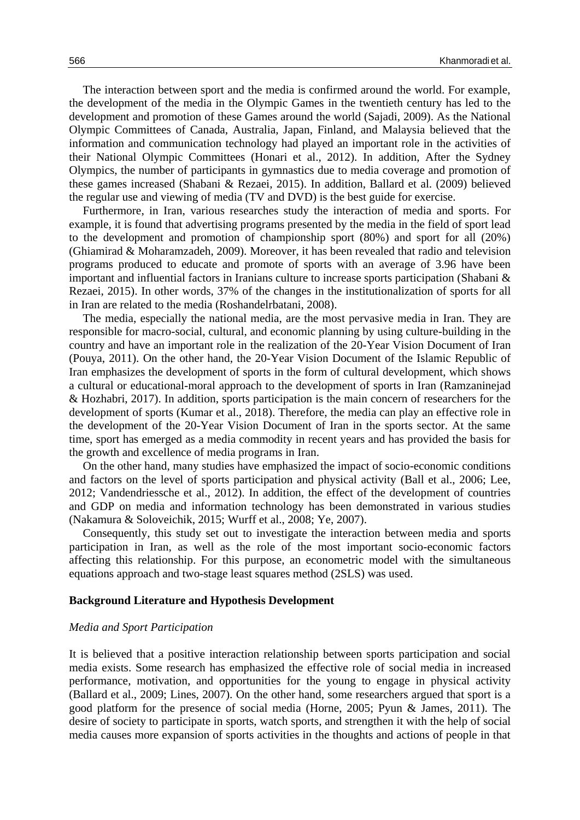The interaction between sport and the media is confirmed around the world. For example, the development of the media in the Olympic Games in the twentieth century has led to the development and promotion of these Games around the world (Sajadi, 2009). As the National Olympic Committees of Canada, Australia, Japan, Finland, and Malaysia believed that the information and communication technology had played an important role in the activities of their National Olympic Committees (Honari et al., 2012). In addition, After the Sydney Olympics, the number of participants in gymnastics due to media coverage and promotion of these games increased (Shabani & Rezaei, 2015). In addition, Ballard et al. (2009) believed the regular use and viewing of media (TV and DVD) is the best guide for exercise.

Furthermore, in Iran, various researches study the interaction of media and sports. For example, it is found that advertising programs presented by the media in the field of sport lead to the development and promotion of championship sport (80%) and sport for all (20%) (Ghiamirad & Moharamzadeh, 2009). Moreover, it has been revealed that radio and television programs produced to educate and promote of sports with an average of 3.96 have been important and influential factors in Iranians culture to increase sports participation (Shabani & Rezaei, 2015). In other words, 37% of the changes in the institutionalization of sports for all in Iran are related to the media (Roshandelrbatani, 2008).

The media, especially the national media, are the most pervasive media in Iran. They are responsible for macro-social, cultural, and economic planning by using culture-building in the country and have an important role in the realization of the 20-Year Vision Document of Iran (Pouya, 2011). On the other hand, the 20-Year Vision Document of the Islamic Republic of Iran emphasizes the development of sports in the form of cultural development, which shows a cultural or educational-moral approach to the development of sports in Iran (Ramzaninejad & Hozhabri, 2017). In addition, sports participation is the main concern of researchers for the development of sports (Kumar et al., 2018). Therefore, the media can play an effective role in the development of the 20-Year Vision Document of Iran in the sports sector. At the same time, sport has emerged as a media commodity in recent years and has provided the basis for the growth and excellence of media programs in Iran.

On the other hand, many studies have emphasized the impact of socio-economic conditions and factors on the level of sports participation and physical activity (Ball et al., 2006; Lee, 2012; Vandendriessche et al., 2012). In addition, the effect of the development of countries and GDP on media and information technology has been demonstrated in various studies (Nakamura & Soloveichik, 2015; Wurff et al., 2008; Ye, 2007).

Consequently, this study set out to investigate the interaction between media and sports participation in Iran, as well as the role of the most important socio-economic factors affecting this relationship. For this purpose, an econometric model with the simultaneous equations approach and two-stage least squares method (2SLS) was used.

#### **Background Literature and Hypothesis Development**

# *Media and Sport Participation*

It is believed that a positive interaction relationship between sports participation and social media exists. Some research has emphasized the effective role of social media in increased performance, motivation, and opportunities for the young to engage in physical activity (Ballard et al., 2009; Lines, 2007). On the other hand, some researchers argued that sport is a good platform for the presence of social media (Horne, 2005; Pyun & James, 2011). The desire of society to participate in sports, watch sports, and strengthen it with the help of social media causes more expansion of sports activities in the thoughts and actions of people in that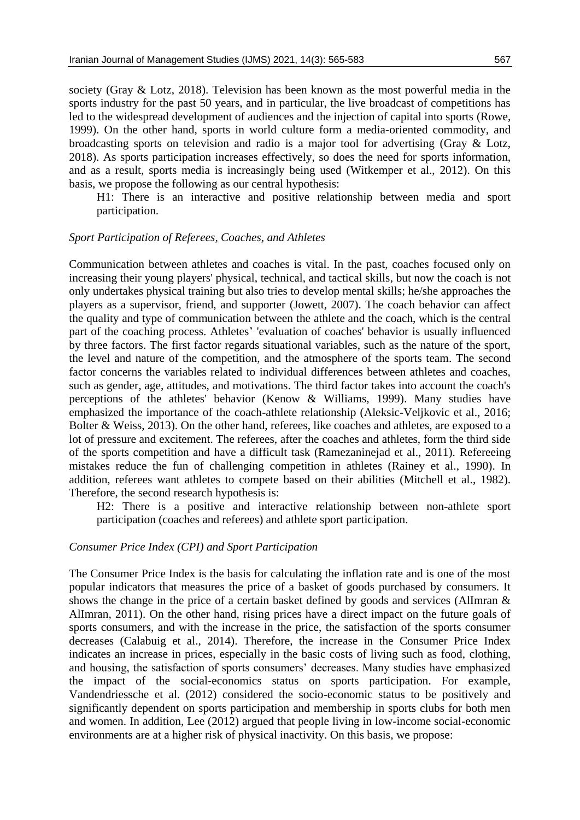society (Gray & Lotz, 2018). Television has been known as the most powerful media in the sports industry for the past 50 years, and in particular, the live broadcast of competitions has led to the widespread development of audiences and the injection of capital into sports (Rowe, 1999). On the other hand, sports in world culture form a media-oriented commodity, and broadcasting sports on television and radio is a major tool for advertising (Gray & Lotz, 2018). As sports participation increases effectively, so does the need for sports information, and as a result, sports media is increasingly being used (Witkemper et al., 2012). On this basis, we propose the following as our central hypothesis:

H1: There is an interactive and positive relationship between media and sport participation.

#### *Sport Participation of Referees, Coaches, and Athletes*

Communication between athletes and coaches is vital. In the past, coaches focused only on increasing their young players' physical, technical, and tactical skills, but now the coach is not only undertakes physical training but also tries to develop mental skills; he/she approaches the players as a supervisor, friend, and supporter (Jowett, 2007). The coach behavior can affect the quality and type of communication between the athlete and the coach, which is the central part of the coaching process. Athletes' 'evaluation of coaches' behavior is usually influenced by three factors. The first factor regards situational variables, such as the nature of the sport, the level and nature of the competition, and the atmosphere of the sports team. The second factor concerns the variables related to individual differences between athletes and coaches, such as gender, age, attitudes, and motivations. The third factor takes into account the coach's perceptions of the athletes' behavior (Kenow & Williams, 1999). Many studies have emphasized the importance of the coach-athlete relationship (Aleksic-Veljkovic et al., 2016; Bolter & Weiss, 2013). On the other hand, referees, like coaches and athletes, are exposed to a lot of pressure and excitement. The referees, after the coaches and athletes, form the third side of the sports competition and have a difficult task (Ramezaninejad et al., 2011). Refereeing mistakes reduce the fun of challenging competition in athletes (Rainey et al., 1990). In addition, referees want athletes to compete based on their abilities (Mitchell et al., 1982). Therefore, the second research hypothesis is:

H2: There is a positive and interactive relationship between non-athlete sport participation (coaches and referees) and athlete sport participation.

#### *Consumer Price Index (CPI) and Sport Participation*

The Consumer Price Index is the basis for calculating the inflation rate and is one of the most popular indicators that measures the price of a basket of goods purchased by consumers. It shows the change in the price of a certain basket defined by goods and services (AlImran & AlImran, 2011). On the other hand, rising prices have a direct impact on the future goals of sports consumers, and with the increase in the price, the satisfaction of the sports consumer decreases (Calabuig et al., 2014). Therefore, the increase in the Consumer Price Index indicates an increase in prices, especially in the basic costs of living such as food, clothing, and housing, the satisfaction of sports consumers' decreases. Many studies have emphasized the impact of the social-economics status on sports participation. For example, Vandendriessche et al. (2012) considered the socio-economic status to be positively and significantly dependent on sports participation and membership in sports clubs for both men and women. In addition, Lee (2012) argued that people living in low-income social-economic environments are at a higher risk of physical inactivity. On this basis, we propose: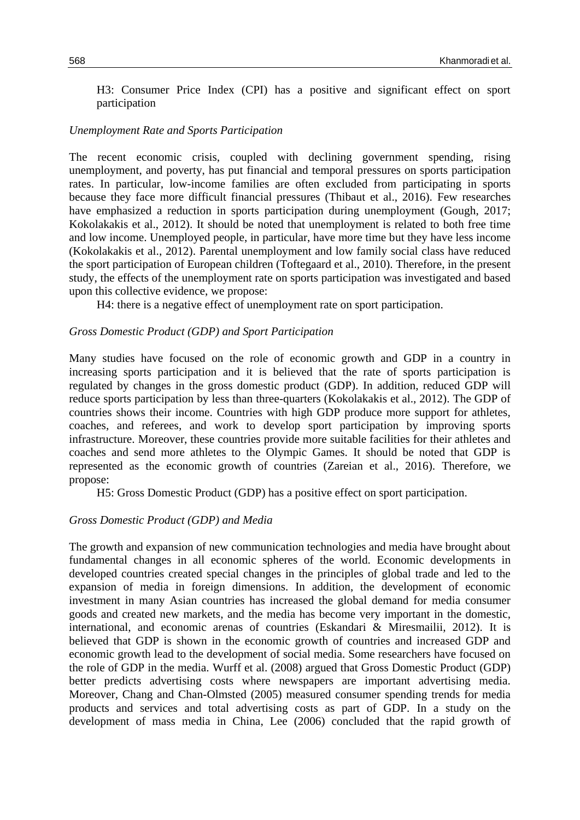H3: Consumer Price Index (CPI) has a positive and significant effect on sport participation

# *Unemployment Rate and Sports Participation*

The recent economic crisis, coupled with declining government spending, rising unemployment, and poverty, has put financial and temporal pressures on sports participation rates. In particular, low-income families are often excluded from participating in sports because they face more difficult financial pressures (Thibaut et al., 2016). Few researches have emphasized a reduction in sports participation during unemployment (Gough, 2017; Kokolakakis et al., 2012). It should be noted that unemployment is related to both free time and low income. Unemployed people, in particular, have more time but they have less income (Kokolakakis et al., 2012). Parental unemployment and low family social class have reduced the sport participation of European children (Toftegaard et al., 2010). Therefore, in the present study, the effects of the unemployment rate on sports participation was investigated and based upon this collective evidence, we propose:

H4: there is a negative effect of unemployment rate on sport participation.

# *Gross Domestic Product (GDP) and Sport Participation*

Many studies have focused on the role of economic growth and GDP in a country in increasing sports participation and it is believed that the rate of sports participation is regulated by changes in the gross domestic product (GDP). In addition, reduced GDP will reduce sports participation by less than three-quarters (Kokolakakis et al., 2012). The GDP of countries shows their income. Countries with high GDP produce more support for athletes, coaches, and referees, and work to develop sport participation by improving sports infrastructure. Moreover, these countries provide more suitable facilities for their athletes and coaches and send more athletes to the Olympic Games. It should be noted that GDP is represented as the economic growth of countries (Zareian et al., 2016). Therefore, we propose:

H5: Gross Domestic Product (GDP) has a positive effect on sport participation.

# *Gross Domestic Product (GDP) and Media*

The growth and expansion of new communication technologies and media have brought about fundamental changes in all economic spheres of the world. Economic developments in developed countries created special changes in the principles of global trade and led to the expansion of media in foreign dimensions. In addition, the development of economic investment in many Asian countries has increased the global demand for media consumer goods and created new markets, and the media has become very important in the domestic, international, and economic arenas of countries (Eskandari & Miresmailii, 2012). It is believed that GDP is shown in the economic growth of countries and increased GDP and economic growth lead to the development of social media. Some researchers have focused on the role of GDP in the media. Wurff et al. (2008) argued that Gross Domestic Product (GDP) better predicts advertising costs where newspapers are important advertising media. Moreover, Chang and Chan-Olmsted (2005) measured consumer spending trends for media products and services and total advertising costs as part of GDP. In a study on the development of mass media in China, Lee (2006) concluded that the rapid growth of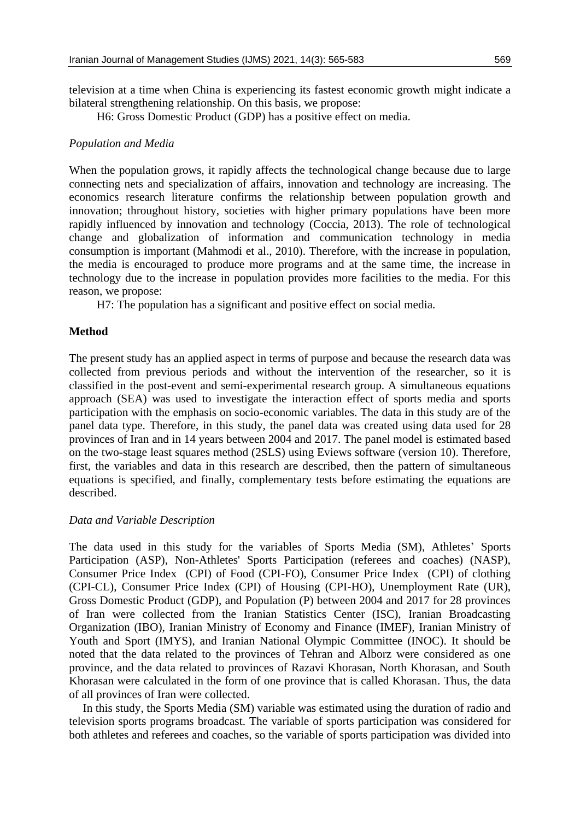television at a time when China is experiencing its fastest economic growth might indicate a bilateral strengthening relationship. On this basis, we propose:

H6: Gross Domestic Product (GDP) has a positive effect on media.

# *Population and Media*

When the population grows, it rapidly affects the technological change because due to large connecting nets and specialization of affairs, innovation and technology are increasing. The economics research literature confirms the relationship between population growth and innovation; throughout history, societies with higher primary populations have been more rapidly influenced by innovation and technology (Coccia, 2013). The role of technological change and globalization of information and communication technology in media consumption is important (Mahmodi et al., 2010). Therefore, with the increase in population, the media is encouraged to produce more programs and at the same time, the increase in technology due to the increase in population provides more facilities to the media. For this reason, we propose:

H7: The population has a significant and positive effect on social media.

# **Method**

The present study has an applied aspect in terms of purpose and because the research data was collected from previous periods and without the intervention of the researcher, so it is classified in the post-event and semi-experimental research group. A simultaneous equations approach (SEA) was used to investigate the interaction effect of sports media and sports participation with the emphasis on socio-economic variables. The data in this study are of the panel data type. Therefore, in this study, the panel data was created using data used for 28 provinces of Iran and in 14 years between 2004 and 2017. The panel model is estimated based on the two-stage least squares method (2SLS) using Eviews software (version 10). Therefore, first, the variables and data in this research are described, then the pattern of simultaneous equations is specified, and finally, complementary tests before estimating the equations are described.

# *Data and Variable Description*

The data used in this study for the variables of Sports Media (SM), Athletes' Sports Participation (ASP), Non-Athletes' Sports Participation (referees and coaches) (NASP), Consumer Price Index (CPI) of Food (CPI-FO), Consumer Price Index (CPI) of clothing (CPI-CL), Consumer Price Index (CPI) of Housing (CPI-HO), Unemployment Rate (UR), Gross Domestic Product (GDP), and Population (P) between 2004 and 2017 for 28 provinces of Iran were collected from the Iranian Statistics Center (ISC), Iranian Broadcasting Organization (IBO), Iranian Ministry of Economy and Finance (IMEF), Iranian Ministry of Youth and Sport (IMYS), and Iranian National Olympic Committee (INOC). It should be noted that the data related to the provinces of Tehran and Alborz were considered as one province, and the data related to provinces of Razavi Khorasan, North Khorasan, and South Khorasan were calculated in the form of one province that is called Khorasan. Thus, the data of all provinces of Iran were collected.

In this study, the Sports Media (SM) variable was estimated using the duration of radio and television sports programs broadcast. The variable of sports participation was considered for both athletes and referees and coaches, so the variable of sports participation was divided into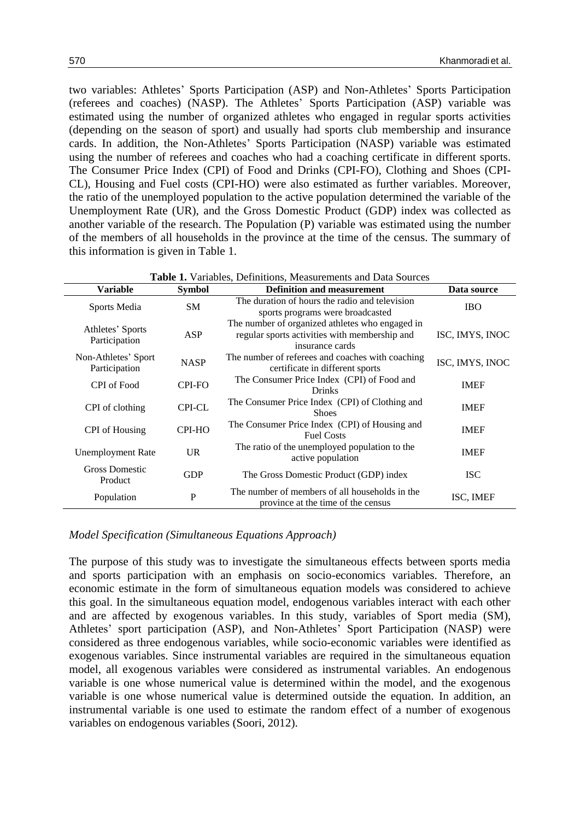two variables: Athletes' Sports Participation (ASP) and Non-Athletes' Sports Participation (referees and coaches) (NASP). The Athletes' Sports Participation (ASP) variable was estimated using the number of organized athletes who engaged in regular sports activities (depending on the season of sport) and usually had sports club membership and insurance cards. In addition, the Non-Athletes' Sports Participation (NASP) variable was estimated using the number of referees and coaches who had a coaching certificate in different sports. The Consumer Price Index (CPI) of Food and Drinks (CPI-FO), Clothing and Shoes (CPI-CL), Housing and Fuel costs (CPI-HO) were also estimated as further variables. Moreover, the ratio of the unemployed population to the active population determined the variable of the Unemployment Rate (UR), and the Gross Domestic Product (GDP) index was collected as another variable of the research. The Population (P) variable was estimated using the number of the members of all households in the province at the time of the census. The summary of this information is given in Table 1.

| <b>Table 1.</b> Variables, Definitions, Measurements and Data Sources |  |  |  |
|-----------------------------------------------------------------------|--|--|--|
|-----------------------------------------------------------------------|--|--|--|

| <b>Variable</b>                      | <b>Symbol</b> | <b>Definition and measurement</b>                                                                                   | Data source     |
|--------------------------------------|---------------|---------------------------------------------------------------------------------------------------------------------|-----------------|
| Sports Media                         | <b>SM</b>     | The duration of hours the radio and television<br>sports programs were broadcasted                                  | <b>IBO</b>      |
| Athletes' Sports<br>Participation    | ASP           | The number of organized at hetes who engaged in<br>regular sports activities with membership and<br>insurance cards | ISC, IMYS, INOC |
| Non-Athletes' Sport<br>Participation | <b>NASP</b>   | The number of referees and coaches with coaching<br>certificate in different sports                                 | ISC, IMYS, INOC |
| CPI of Food                          | CPI-FO        | The Consumer Price Index (CPI) of Food and<br><b>Drinks</b>                                                         | <b>IMEF</b>     |
| CPI of clothing                      | <b>CPI-CL</b> | The Consumer Price Index (CPI) of Clothing and<br><b>Shoes</b>                                                      | <b>IMEF</b>     |
| CPI of Housing                       | CPI-HO        | The Consumer Price Index (CPI) of Housing and<br><b>Fuel Costs</b>                                                  | <b>IMEF</b>     |
| <b>Unemployment Rate</b>             | <b>UR</b>     | The ratio of the unemployed population to the<br>active population                                                  | <b>IMEF</b>     |
| <b>Gross Domestic</b><br>Product     | <b>GDP</b>    | The Gross Domestic Product (GDP) index                                                                              | <b>ISC</b>      |
| Population                           | $\mathbf P$   | The number of members of all households in the<br>province at the time of the census                                | ISC, IMEF       |

#### *Model Specification (Simultaneous Equations Approach)*

The purpose of this study was to investigate the simultaneous effects between sports media and sports participation with an emphasis on socio-economics variables. Therefore, an economic estimate in the form of simultaneous equation models was considered to achieve this goal. In the simultaneous equation model, endogenous variables interact with each other and are affected by exogenous variables. In this study, variables of Sport media (SM), Athletes' sport participation (ASP), and Non-Athletes' Sport Participation (NASP) were considered as three endogenous variables, while socio-economic variables were identified as exogenous variables. Since instrumental variables are required in the simultaneous equation model, all exogenous variables were considered as instrumental variables. An endogenous variable is one whose numerical value is determined within the model, and the exogenous variable is one whose numerical value is determined outside the equation. In addition, an instrumental variable is one used to estimate the random effect of a number of exogenous variables on endogenous variables (Soori, 2012).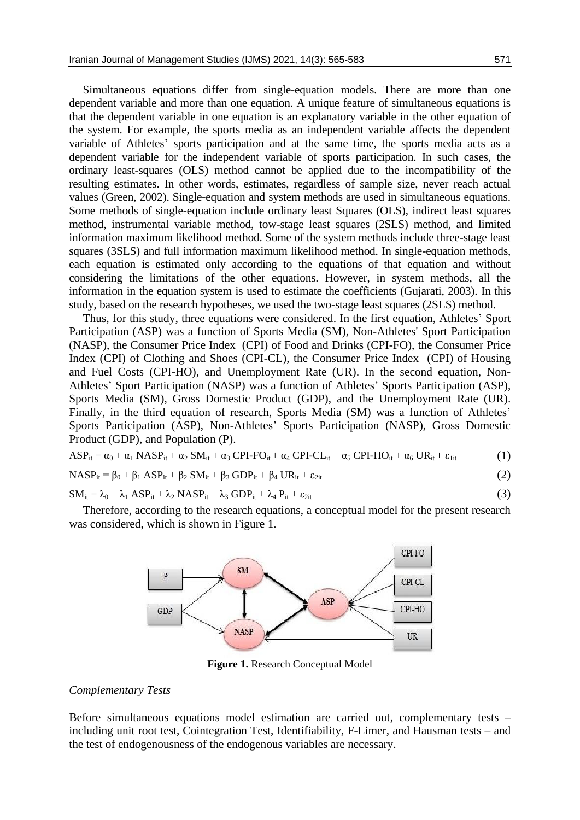Simultaneous equations differ from single-equation models. There are more than one dependent variable and more than one equation. A unique feature of simultaneous equations is that the dependent variable in one equation is an explanatory variable in the other equation of the system. For example, the sports media as an independent variable affects the dependent variable of Athletes' sports participation and at the same time, the sports media acts as a dependent variable for the independent variable of sports participation. In such cases, the ordinary least-squares (OLS) method cannot be applied due to the incompatibility of the resulting estimates. In other words, estimates, regardless of sample size, never reach actual values (Green, 2002). Single-equation and system methods are used in simultaneous equations. Some methods of single-equation include ordinary least Squares (OLS), indirect least squares method, instrumental variable method, tow-stage least squares (2SLS) method, and limited information maximum likelihood method. Some of the system methods include three-stage least squares (3SLS) and full information maximum likelihood method. In single-equation methods, each equation is estimated only according to the equations of that equation and without considering the limitations of the other equations. However, in system methods, all the information in the equation system is used to estimate the coefficients (Gujarati, 2003). In this study, based on the research hypotheses, we used the two-stage least squares (2SLS) method.

Thus, for this study, three equations were considered. In the first equation, Athletes' Sport Participation (ASP) was a function of Sports Media (SM), Non-Athletes' Sport Participation (NASP), the Consumer Price Index (CPI) of Food and Drinks (CPI-FO), the Consumer Price Index (CPI) of Clothing and Shoes (CPI-CL), the Consumer Price Index (CPI) of Housing and Fuel Costs (CPI-HO), and Unemployment Rate (UR). In the second equation, Non-Athletes' Sport Participation (NASP) was a function of Athletes' Sports Participation (ASP), Sports Media (SM), Gross Domestic Product (GDP), and the Unemployment Rate (UR). Finally, in the third equation of research, Sports Media (SM) was a function of Athletes' Sports Participation (ASP), Non-Athletes' Sports Participation (NASP), Gross Domestic Product (GDP), and Population (P).

$$
ASP_{it} = \alpha_0 + \alpha_1 \, NASP_{it} + \alpha_2 \, SM_{it} + \alpha_3 \, CPL \cdot \alpha_4 \, CPL \cdot CL_{it} + \alpha_5 \, CPL \cdot HO_{it} + \alpha_6 \, UR_{it} + \epsilon_{1it} \tag{1}
$$

$$
NASP_{it} = \beta_0 + \beta_1 ASP_{it} + \beta_2 SM_{it} + \beta_3 GDP_{it} + \beta_4 UR_{it} + \epsilon_{2it}
$$
\n(2)

$$
SM_{it} = \lambda_0 + \lambda_1 ASP_{it} + \lambda_2 NASASP_{it} + \lambda_3 GDP_{it} + \lambda_4 P_{it} + \varepsilon_{2it}
$$
\n(3)

Therefore, according to the research equations, a conceptual model for the present research was considered, which is shown in Figure 1.



**Figure 1.** Research Conceptual Model

#### *Complementary Tests*

Before simultaneous equations model estimation are carried out, complementary tests – including unit root test, Cointegration Test, Identifiability, F-Limer, and Hausman tests – and the test of endogenousness of the endogenous variables are necessary.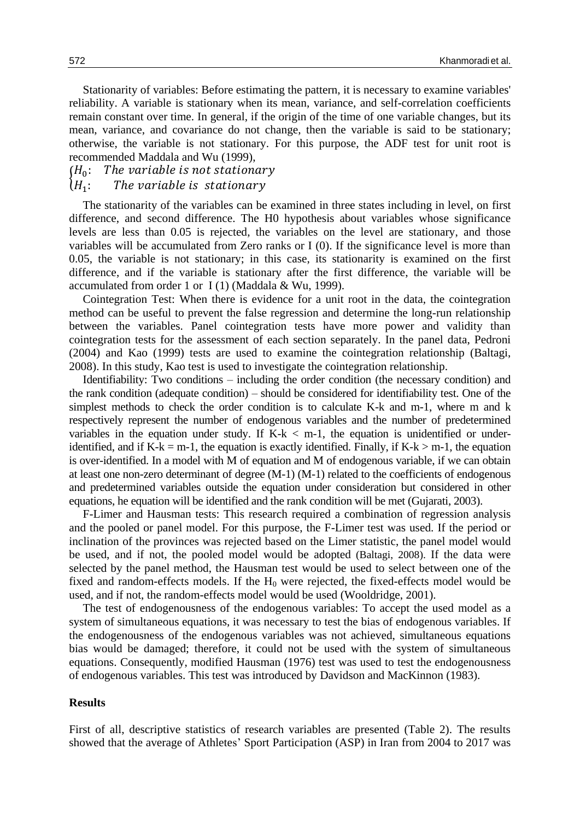Stationarity of variables: Before estimating the pattern, it is necessary to examine variables' reliability. A variable is stationary when its mean, variance, and self-correlation coefficients remain constant over time. In general, if the origin of the time of one variable changes, but its mean, variance, and covariance do not change, then the variable is said to be stationary; otherwise, the variable is not stationary. For this purpose, the ADF test for unit root is recommended Maddala and Wu (1999),

#### $(H_0:$ The variable is not stationary

#### $\big\{H_1\}_{n=1}^{110}$ The variable is stationary

The stationarity of the variables can be examined in three states including in level, on first difference, and second difference. The H0 hypothesis about variables whose significance levels are less than 0.05 is rejected, the variables on the level are stationary, and those variables will be accumulated from Zero ranks or I (0). If the significance level is more than 0.05, the variable is not stationary; in this case, its stationarity is examined on the first difference, and if the variable is stationary after the first difference, the variable will be accumulated from order 1 or I (1) (Maddala & Wu, 1999).

Cointegration Test: When there is evidence for a unit root in the data, the cointegration method can be useful to prevent the false regression and determine the long-run relationship between the variables. Panel cointegration tests have more power and validity than cointegration tests for the assessment of each section separately. In the panel data, Pedroni (2004) and Kao (1999) tests are used to examine the cointegration relationship (Baltagi, 2008). In this study, Kao test is used to investigate the cointegration relationship.

Identifiability: Two conditions – including the order condition (the necessary condition) and the rank condition (adequate condition) – should be considered for identifiability test. One of the simplest methods to check the order condition is to calculate K-k and m-1, where m and k respectively represent the number of endogenous variables and the number of predetermined variables in the equation under study. If  $K-k < m-1$ , the equation is unidentified or underidentified, and if K-k = m-1, the equation is exactly identified. Finally, if K-k > m-1, the equation is over-identified. In a model with M of equation and M of endogenous variable, if we can obtain at least one non-zero determinant of degree (M-1) (M-1) related to the coefficients of endogenous and predetermined variables outside the equation under consideration but considered in other equations, he equation will be identified and the rank condition will be met (Gujarati, 2003).

F-Limer and Hausman tests: This research required a combination of regression analysis and the pooled or panel model. For this purpose, the F-Limer test was used. If the period or inclination of the provinces was rejected based on the Limer statistic, the panel model would be used, and if not, the pooled model would be adopted (Baltagi, 2008). If the data were selected by the panel method, the Hausman test would be used to select between one of the fixed and random-effects models. If the  $H_0$  were rejected, the fixed-effects model would be used, and if not, the random-effects model would be used (Wooldridge, 2001).

The test of endogenousness of the endogenous variables: To accept the used model as a system of simultaneous equations, it was necessary to test the bias of endogenous variables. If the endogenousness of the endogenous variables was not achieved, simultaneous equations bias would be damaged; therefore, it could not be used with the system of simultaneous equations. Consequently, modified Hausman (1976) test was used to test the endogenousness of endogenous variables. This test was introduced by Davidson and MacKinnon (1983).

# **Results**

First of all, descriptive statistics of research variables are presented (Table 2). The results showed that the average of Athletes' Sport Participation (ASP) in Iran from 2004 to 2017 was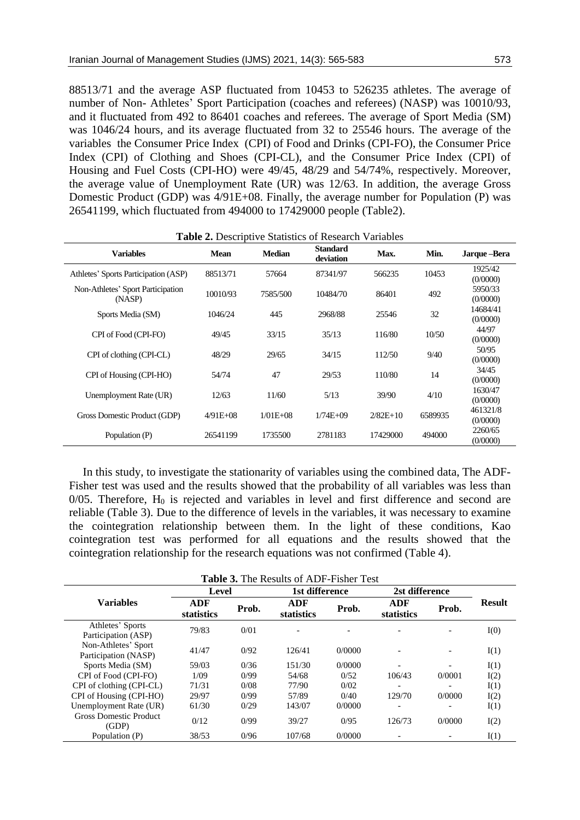88513/71 and the average ASP fluctuated from 10453 to 526235 athletes. The average of number of Non- Athletes' Sport Participation (coaches and referees) (NASP) was 10010/93, and it fluctuated from 492 to 86401 coaches and referees. The average of Sport Media (SM) was 1046/24 hours, and its average fluctuated from 32 to 25546 hours. The average of the variables the Consumer Price Index (CPI) of Food and Drinks (CPI-FO), the Consumer Price Index (CPI) of Clothing and Shoes (CPI-CL), and the Consumer Price Index (CPI) of Housing and Fuel Costs (CPI-HO) were 49/45, 48/29 and 54/74%, respectively. Moreover, the average value of Unemployment Rate (UR) was 12/63. In addition, the average Gross Domestic Product (GDP) was 4/91E+08. Finally, the average number for Population (P) was 26541199, which fluctuated from 494000 to 17429000 people (Table2).

| <b>Variables</b>                            | <b>Mean</b> | <b>Median</b> | <b>Standard</b><br>deviation | Max.       | Min.    | Jarque-Bera                     |
|---------------------------------------------|-------------|---------------|------------------------------|------------|---------|---------------------------------|
| Athletes' Sports Participation (ASP)        | 88513/71    | 57664         | 87341/97                     | 566235     | 10453   | 1925/42                         |
| Non-Athletes' Sport Participation<br>(NASP) | 10010/93    | 7585/500      | 10484/70                     | 86401      | 492     | (0/0000)<br>5950/33<br>(0/0000) |
| Sports Media (SM)                           | 1046/24     | 445           | 2968/88                      | 25546      | 32      | 14684/41<br>(0/0000)            |
| CPI of Food (CPI-FO)                        | 49/45       | 33/15         | 35/13                        | 116/80     | 10/50   | 44/97<br>(0/0000)               |
| CPI of clothing (CPI-CL)                    | 48/29       | 29/65         | 34/15                        | 112/50     | 9/40    | 50/95<br>(0/0000)               |
| CPI of Housing (CPI-HO)                     | 54/74       | 47            | 29/53                        | 110/80     | 14      | 34/45<br>(0/0000)               |
| Unemployment Rate (UR)                      | 12/63       | 11/60         | 5/13                         | 39/90      | 4/10    | 1630/47<br>(0/0000)             |
| Gross Domestic Product (GDP)                | $4/91E+08$  | $1/01E+08$    | $1/74E+09$                   | $2/82E+10$ | 6589935 | 461321/8<br>(0/0000)            |
| Population (P)                              | 26541199    | 1735500       | 2781183                      | 17429000   | 494000  | 2260/65<br>(0/0000)             |

**Table 2.** Descriptive Statistics of Research Variables

In this study, to investigate the stationarity of variables using the combined data, The ADF-Fisher test was used and the results showed that the probability of all variables was less than  $0/05$ . Therefore,  $H_0$  is rejected and variables in level and first difference and second are reliable (Table 3). Due to the difference of levels in the variables, it was necessary to examine the cointegration relationship between them. In the light of these conditions, Kao cointegration test was performed for all equations and the results showed that the cointegration relationship for the research equations was not confirmed (Table 4).

| <b>Table 3.</b> The Results of ADF-Fisher Test |                   |       |                   |        |                   |        |               |  |  |  |  |
|------------------------------------------------|-------------------|-------|-------------------|--------|-------------------|--------|---------------|--|--|--|--|
|                                                | Level             |       | 1st difference    |        | 2st difference    |        |               |  |  |  |  |
| <b>Variables</b>                               | ADF<br>statistics | Prob. | ADF<br>statistics | Prob.  | ADF<br>statistics | Prob.  | <b>Result</b> |  |  |  |  |
| Athletes' Sports<br>Participation (ASP)        | 79/83             | 0/01  |                   |        |                   |        | I(0)          |  |  |  |  |
| Non-Athletes' Sport<br>Participation (NASP)    | 41/47             | 0/92  | 126/41            | 0/0000 |                   |        | I(1)          |  |  |  |  |
| Sports Media (SM)                              | 59/03             | 0/36  | 151/30            | 0/0000 |                   |        | I(1)          |  |  |  |  |
| CPI of Food (CPI-FO)                           | 1/09              | 0/99  | 54/68             | 0/52   | 106/43            | 0/0001 | I(2)          |  |  |  |  |
| CPI of clothing (CPI-CL)                       | 71/31             | 0/08  | 77/90             | 0/02   |                   |        | I(1)          |  |  |  |  |
| CPI of Housing (CPI-HO)                        | 29/97             | 0/99  | 57/89             | 0/40   | 129/70            | 0/0000 | I(2)          |  |  |  |  |
| Unemployment Rate (UR)                         | 61/30             | 0/29  | 143/07            | 0/0000 |                   |        | I(1)          |  |  |  |  |
| <b>Gross Domestic Product</b><br>(GDP)         | 0/12              | 0/99  | 39/27             | 0/95   | 126/73            | 0/0000 | I(2)          |  |  |  |  |
| Population (P)                                 | 38/53             | 0/96  | 107/68            | 0/0000 |                   |        | I(1)          |  |  |  |  |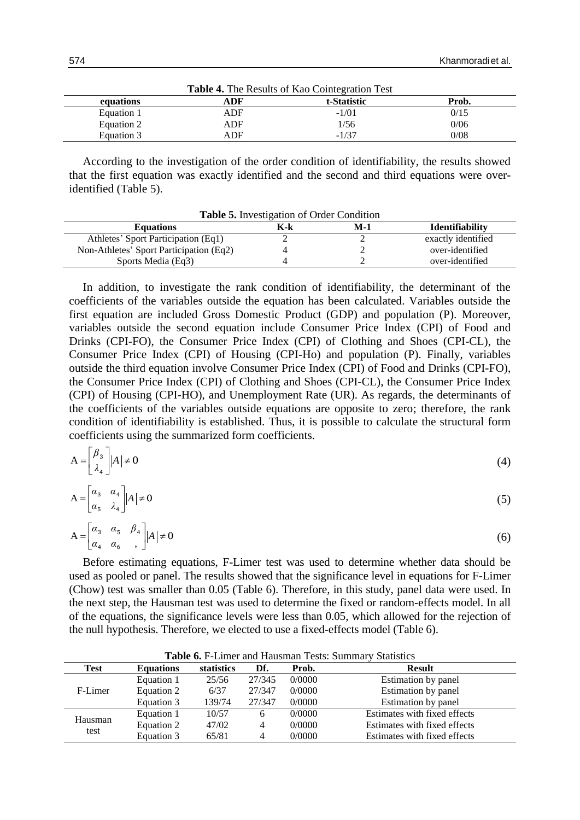| <b>Table 4.</b> The Results of Rao Connegration Test |     |             |       |  |  |  |  |  |  |
|------------------------------------------------------|-----|-------------|-------|--|--|--|--|--|--|
| equations                                            | ADF | t-Statistic | Prob. |  |  |  |  |  |  |
| Equation 1                                           | ADF | $-1/01$     | 0/15  |  |  |  |  |  |  |
| Equation 2                                           | ADF | 1/56        | 0/06  |  |  |  |  |  |  |
| Equation 3                                           | ADF | $-1/37$     | 0/08  |  |  |  |  |  |  |

**Table 4.** The Results of Kao Cointegration Test

According to the investigation of the order condition of identifiability, the results showed that the first equation was exactly identified and the second and third equations were overidentified (Table 5).

| <b>Table 5.</b> Investigation of Order Condition |     |     |                        |  |  |  |  |  |  |
|--------------------------------------------------|-----|-----|------------------------|--|--|--|--|--|--|
| <b>Equations</b>                                 | K-k | M-1 | <b>Identifiability</b> |  |  |  |  |  |  |
| Athletes' Sport Participation (Eq1)              | ∠   |     | exactly identified     |  |  |  |  |  |  |
| Non-Athletes' Sport Participation (Eq2)          |     |     | over-identified        |  |  |  |  |  |  |
| Sports Media (Eq3)                               |     |     | over-identified        |  |  |  |  |  |  |

In addition, to investigate the rank condition of identifiability, the determinant of the coefficients of the variables outside the equation has been calculated. Variables outside the first equation are included Gross Domestic Product (GDP) and population (P). Moreover, variables outside the second equation include Consumer Price Index (CPI) of Food and Drinks (CPI-FO), the Consumer Price Index (CPI) of Clothing and Shoes (CPI-CL), the Consumer Price Index (CPI) of Housing (CPI-Ho) and population (P). Finally, variables outside the third equation involve Consumer Price Index (CPI) of Food and Drinks (CPI-FO), the Consumer Price Index (CPI) of Clothing and Shoes (CPI-CL), the Consumer Price Index (CPI) of Housing (CPI-HO), and Unemployment Rate (UR). As regards, the determinants of the coefficients of the variables outside equations are opposite to zero; therefore, the rank condition of identifiability is established. Thus, it is possible to calculate the structural form coefficients using the summarized form coefficients.

$$
A = \begin{bmatrix} \beta_3 \\ \lambda_4 \end{bmatrix} |A| \neq 0
$$
 (4)

$$
A = \begin{bmatrix} \alpha_3 & \alpha_4 \\ \alpha_5 & \lambda_4 \end{bmatrix} |A| \neq 0 \tag{5}
$$

$$
A = \begin{bmatrix} \alpha_3 & \alpha_5 & \beta_4 \\ \alpha_4 & \alpha_6 & \end{bmatrix} |A| \neq 0
$$
 (6)

Before estimating equations, F-Limer test was used to determine whether data should be used as pooled or panel. The results showed that the significance level in equations for F-Limer (Chow) test was smaller than 0.05 (Table 6). Therefore, in this study, panel data were used. In the next step, the Hausman test was used to determine the fixed or random-effects model. In all of the equations, the significance levels were less than 0.05, which allowed for the rejection of the null hypothesis. Therefore, we elected to use a fixed-effects model (Table 6).

| <b>Table 0.</b> I -Ellifer and Hausman Tests. Building y Blansites |                  |            |        |        |                              |  |  |  |  |
|--------------------------------------------------------------------|------------------|------------|--------|--------|------------------------------|--|--|--|--|
| Test                                                               | <b>Equations</b> | statistics | Df.    | Prob.  | <b>Result</b>                |  |  |  |  |
|                                                                    | Equation 1       | 25/56      | 27/345 | 0/0000 | Estimation by panel          |  |  |  |  |
| F-Limer                                                            | Equation 2       | 6/37       | 27/347 | 0/0000 | Estimation by panel          |  |  |  |  |
|                                                                    | Equation 3       | 139/74     | 27/347 | 0/0000 | Estimation by panel          |  |  |  |  |
|                                                                    | Equation 1       | 10/57      | 6      | 0/0000 | Estimates with fixed effects |  |  |  |  |
| Hausman                                                            | Equation 2       | 47/02      | 4      | 0/0000 | Estimates with fixed effects |  |  |  |  |
| test                                                               | Equation 3       | 65/81      |        | 0/0000 | Estimates with fixed effects |  |  |  |  |

**Table 6.** F-Limer and Hausman Tests: Summary Statistics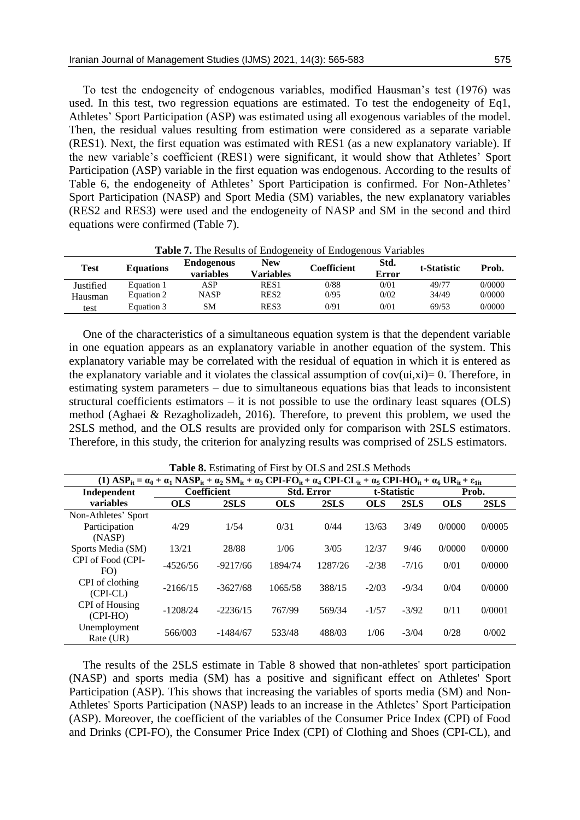To test the endogeneity of endogenous variables, modified Hausman's test (1976) was used. In this test, two regression equations are estimated. To test the endogeneity of Eq1, Athletes' Sport Participation (ASP) was estimated using all exogenous variables of the model. Then, the residual values resulting from estimation were considered as a separate variable (RES1). Next, the first equation was estimated with RES1 (as a new explanatory variable). If the new variable's coefficient (RES1) were significant, it would show that Athletes' Sport Participation (ASP) variable in the first equation was endogenous. According to the results of Table 6, the endogeneity of Athletes' Sport Participation is confirmed. For Non-Athletes' Sport Participation (NASP) and Sport Media (SM) variables, the new explanatory variables (RES2 and RES3) were used and the endogeneity of NASP and SM in the second and third equations were confirmed (Table 7).

| Test      | <b>Equations</b> | <b>Endogenous</b><br>variables | <b>New</b><br>Variables | Coefficient | Std.<br>Error | t-Statistic | Prob.  |
|-----------|------------------|--------------------------------|-------------------------|-------------|---------------|-------------|--------|
| Justified | Equation 1       | ASP                            | RES <sub>1</sub>        | 0/88        | 0/01          | 49/77       | 0/0000 |
| Hausman   | Equation 2       | NASP                           | RES <sub>2</sub>        | 0/95        | 0/02          | 34/49       | 0/0000 |
| test      | Equation 3       | SΜ                             | RES <sub>3</sub>        | 0/91        | 0/01          | 69/53       | 0/0000 |

**Table 7.** The Results of Endogeneity of Endogenous Variables

One of the characteristics of a simultaneous equation system is that the dependent variable in one equation appears as an explanatory variable in another equation of the system. This explanatory variable may be correlated with the residual of equation in which it is entered as the explanatory variable and it violates the classical assumption of  $cov(u, xi)=0$ . Therefore, in estimating system parameters – due to simultaneous equations bias that leads to inconsistent structural coefficients estimators – it is not possible to use the ordinary least squares (OLS) method (Aghaei & Rezagholizadeh, 2016). Therefore, to prevent this problem, we used the 2SLS method, and the OLS results are provided only for comparison with 2SLS estimators. Therefore, in this study, the criterion for analyzing results was comprised of 2SLS estimators.

| (1) $\text{ASP}_{it} = \alpha_0 + \alpha_1 \text{ NASA}_{it} + \alpha_2 \text{SM}_{it} + \alpha_3 \text{CPI-FO}_{it} + \alpha_4 \text{CPI-CL}_{it} + \alpha_5 \text{CPI-HO}_{it} + \alpha_6 \text{UR}_{it} + \epsilon_{lit}$ |            |                    |            |                   |            |         |                      |        |  |  |
|------------------------------------------------------------------------------------------------------------------------------------------------------------------------------------------------------------------------------|------------|--------------------|------------|-------------------|------------|---------|----------------------|--------|--|--|
| Independent                                                                                                                                                                                                                  |            | <b>Coefficient</b> |            | <b>Std. Error</b> |            |         | t-Statistic<br>Prob. |        |  |  |
| variables                                                                                                                                                                                                                    | <b>OLS</b> | 2SLS               | <b>OLS</b> | 2SLS              | <b>OLS</b> | 2SLS    | <b>OLS</b>           | 2SLS   |  |  |
| Non-Athletes' Sport                                                                                                                                                                                                          |            |                    |            |                   |            |         |                      |        |  |  |
| Participation                                                                                                                                                                                                                | 4/29       | 1/54               | 0/31       | 0/44              | 13/63      | 3/49    | 0/0000               | 0/0005 |  |  |
| (NASP)                                                                                                                                                                                                                       |            |                    |            |                   |            |         |                      |        |  |  |
| Sports Media (SM)                                                                                                                                                                                                            | 13/21      | 28/88              | 1/06       | 3/0.5             | 12/37      | 9/46    | 0/0000               | 0/0000 |  |  |
| CPI of Food (CPI-                                                                                                                                                                                                            | $-4526/56$ | $-9217/66$         | 1894/74    | 1287/26           | $-2/38$    | $-7/16$ | 0/01                 | 0/0000 |  |  |
| FO)                                                                                                                                                                                                                          |            |                    |            |                   |            |         |                      |        |  |  |
| CPI of clothing                                                                                                                                                                                                              | $-2166/15$ | $-3627/68$         | 1065/58    | 388/15            | $-2/03$    | $-9/34$ | 0/04                 | 0/0000 |  |  |
| $(CPI-CL)$                                                                                                                                                                                                                   |            |                    |            |                   |            |         |                      |        |  |  |
| <b>CPI</b> of Housing                                                                                                                                                                                                        | $-1208/24$ | $-2236/15$         | 767/99     | 569/34            | $-1/57$    | $-3/92$ | 0/11                 | 0/0001 |  |  |
| $(CPI-HO)$                                                                                                                                                                                                                   |            |                    |            |                   |            |         |                      |        |  |  |
| Unemployment                                                                                                                                                                                                                 | 566/003    | $-1484/67$         | 533/48     | 488/03            | 1/06       | $-3/04$ | 0/28                 | 0/002  |  |  |
| Rate (UR)                                                                                                                                                                                                                    |            |                    |            |                   |            |         |                      |        |  |  |

**Table 8.** Estimating of First by OLS and 2SLS Methods

The results of the 2SLS estimate in Table 8 showed that non-athletes' sport participation (NASP) and sports media (SM) has a positive and significant effect on Athletes' Sport Participation (ASP). This shows that increasing the variables of sports media (SM) and Non-Athletes' Sports Participation (NASP) leads to an increase in the Athletes' Sport Participation (ASP). Moreover, the coefficient of the variables of the Consumer Price Index (CPI) of Food and Drinks (CPI-FO), the Consumer Price Index (CPI) of Clothing and Shoes (CPI-CL), and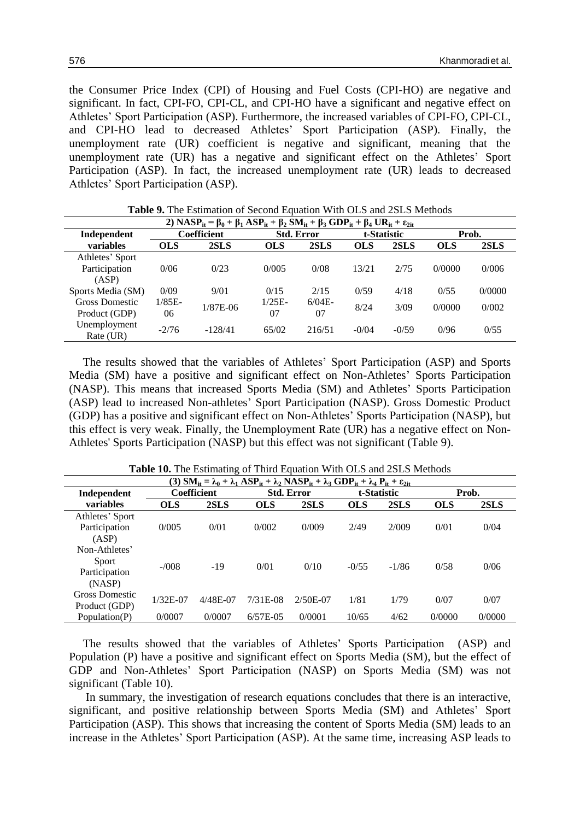the Consumer Price Index (CPI) of Housing and Fuel Costs (CPI-HO) are negative and significant. In fact, CPI-FO, CPI-CL, and CPI-HO have a significant and negative effect on Athletes' Sport Participation (ASP). Furthermore, the increased variables of CPI-FO, CPI-CL, and CPI-HO lead to decreased Athletes' Sport Participation (ASP). Finally, the unemployment rate (UR) coefficient is negative and significant, meaning that the unemployment rate (UR) has a negative and significant effect on the Athletes' Sport Participation (ASP). In fact, the increased unemployment rate (UR) leads to decreased Athletes' Sport Participation (ASP).

| 2) $NASP_{it} = \beta_0 + \beta_1 ASP_{it} + \beta_2 SM_{it} + \beta_3 GDP_{it} + \beta_4 UR_{it} + \epsilon_{2it}$ |            |                    |            |                   |            |             |            |        |  |  |  |  |
|---------------------------------------------------------------------------------------------------------------------|------------|--------------------|------------|-------------------|------------|-------------|------------|--------|--|--|--|--|
| Independent                                                                                                         |            | <b>Coefficient</b> |            | <b>Std. Error</b> |            | t-Statistic |            | Prob.  |  |  |  |  |
| variables                                                                                                           | <b>OLS</b> | 2SLS               | <b>OLS</b> | 2SLS              | <b>OLS</b> | 2SLS        | <b>OLS</b> | 2SLS   |  |  |  |  |
| Athletes' Sport                                                                                                     |            |                    |            |                   |            |             |            |        |  |  |  |  |
| Participation                                                                                                       | 0/06       | 0/23               | 0/005      | 0/08              | 13/21      | 2/75        | 0/0000     | 0/006  |  |  |  |  |
| (ASP)                                                                                                               |            |                    |            |                   |            |             |            |        |  |  |  |  |
| Sports Media (SM)                                                                                                   | 0/09       | 9/01               | 0/15       | 2/15              | 0/59       | 4/18        | 0/55       | 0/0000 |  |  |  |  |
| Gross Domestic                                                                                                      | $1/85E-$   | $1/87E-06$         | $1/25E-$   | $6/04E-$          | 8/24       | 3/09        | 0/0000     | 0/002  |  |  |  |  |
| Product (GDP)                                                                                                       | 06         |                    | 07         | 07                |            |             |            |        |  |  |  |  |
| Unemployment                                                                                                        | $-2/76$    | $-128/41$          | 65/02      | 216/51            | $-0/04$    | $-0/59$     | 0/96       | 0/55   |  |  |  |  |
| Rate (UR)                                                                                                           |            |                    |            |                   |            |             |            |        |  |  |  |  |

Table 9. The Estimation of Second Equation With OLS and 2SLS Methods

The results showed that the variables of Athletes' Sport Participation (ASP) and Sports Media (SM) have a positive and significant effect on Non-Athletes' Sports Participation (NASP). This means that increased Sports Media (SM) and Athletes' Sports Participation (ASP) lead to increased Non-athletes' Sport Participation (NASP). Gross Domestic Product (GDP) has a positive and significant effect on Non-Athletes' Sports Participation (NASP), but this effect is very weak. Finally, the Unemployment Rate (UR) has a negative effect on Non-Athletes' Sports Participation (NASP) but this effect was not significant (Table 9).

|                 | (3) $\text{SM}_{\text{it}} = \lambda_0 + \lambda_1 \text{ ASP}_{\text{it}} + \lambda_2 \text{NASP}_{\text{it}} + \lambda_3 \text{ GDP}_{\text{it}} + \lambda_4 \text{P}_{\text{it}} + \epsilon_{2\text{it}}$ |                    |                   |            |             |         |            |        |  |  |  |  |  |
|-----------------|--------------------------------------------------------------------------------------------------------------------------------------------------------------------------------------------------------------|--------------------|-------------------|------------|-------------|---------|------------|--------|--|--|--|--|--|
| Independent     |                                                                                                                                                                                                              | <b>Coefficient</b> | <b>Std. Error</b> |            | t-Statistic |         |            | Prob.  |  |  |  |  |  |
| variables       | <b>OLS</b>                                                                                                                                                                                                   | 2SLS               | <b>OLS</b>        | 2SLS       | <b>OLS</b>  | 2SLS    | <b>OLS</b> | 2SLS   |  |  |  |  |  |
| Athletes' Sport |                                                                                                                                                                                                              |                    |                   |            |             |         |            |        |  |  |  |  |  |
| Participation   | 0/005                                                                                                                                                                                                        | 0/01               | 0/002             | 0/009      | 2/49        | 2/009   | 0/01       | 0/04   |  |  |  |  |  |
| (ASP)           |                                                                                                                                                                                                              |                    |                   |            |             |         |            |        |  |  |  |  |  |
| Non-Athletes'   |                                                                                                                                                                                                              |                    |                   |            |             |         |            |        |  |  |  |  |  |
| Sport           | $-7008$                                                                                                                                                                                                      | $-19$              | 0/01              | 0/10       | $-0/55$     | $-1/86$ | 0/58       | 0/06   |  |  |  |  |  |
| Participation   |                                                                                                                                                                                                              |                    |                   |            |             |         |            |        |  |  |  |  |  |
| (NASP)          |                                                                                                                                                                                                              |                    |                   |            |             |         |            |        |  |  |  |  |  |
| Gross Domestic  | $1/32E-07$                                                                                                                                                                                                   | 4/48E-07           | $7/31E-08$        | $2/50E-07$ | 1/81        | 1/79    | 0/07       | 0/07   |  |  |  |  |  |
| Product (GDP)   |                                                                                                                                                                                                              |                    |                   |            |             |         |            |        |  |  |  |  |  |
| Population(P)   | 0/0007                                                                                                                                                                                                       | 0/0007             | $6/57E-05$        | 0/0001     | 10/65       | 4/62    | 0/0000     | 0/0000 |  |  |  |  |  |

**Table 10.** The Estimating of Third Equation With OLS and 2SLS Methods

The results showed that the variables of Athletes' Sports Participation (ASP) and Population (P) have a positive and significant effect on Sports Media (SM), but the effect of GDP and Non-Athletes' Sport Participation (NASP) on Sports Media (SM) was not significant (Table 10).

In summary, the investigation of research equations concludes that there is an interactive, significant, and positive relationship between Sports Media (SM) and Athletes' Sport Participation (ASP). This shows that increasing the content of Sports Media (SM) leads to an increase in the Athletes' Sport Participation (ASP). At the same time, increasing ASP leads to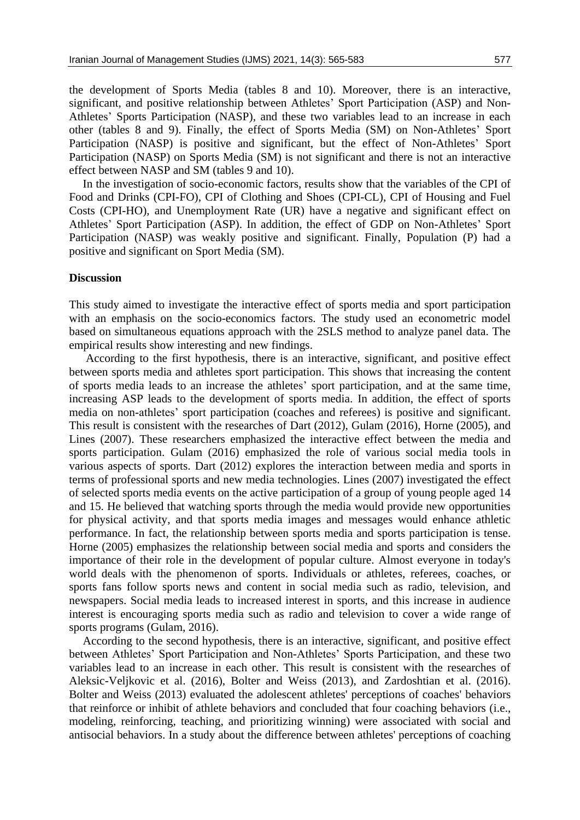the development of Sports Media (tables 8 and 10). Moreover, there is an interactive, significant, and positive relationship between Athletes' Sport Participation (ASP) and Non-Athletes' Sports Participation (NASP), and these two variables lead to an increase in each other (tables 8 and 9). Finally, the effect of Sports Media (SM) on Non-Athletes' Sport Participation (NASP) is positive and significant, but the effect of Non-Athletes' Sport Participation (NASP) on Sports Media (SM) is not significant and there is not an interactive effect between NASP and SM (tables 9 and 10).

In the investigation of socio-economic factors, results show that the variables of the CPI of Food and Drinks (CPI-FO), CPI of Clothing and Shoes (CPI-CL), CPI of Housing and Fuel Costs (CPI-HO), and Unemployment Rate (UR) have a negative and significant effect on Athletes' Sport Participation (ASP). In addition, the effect of GDP on Non-Athletes' Sport Participation (NASP) was weakly positive and significant. Finally, Population (P) had a positive and significant on Sport Media (SM).

# **Discussion**

This study aimed to investigate the interactive effect of sports media and sport participation with an emphasis on the socio-economics factors. The study used an econometric model based on simultaneous equations approach with the 2SLS method to analyze panel data. The empirical results show interesting and new findings.

According to the first hypothesis, there is an interactive, significant, and positive effect between sports media and athletes sport participation. This shows that increasing the content of sports media leads to an increase the athletes' sport participation, and at the same time, increasing ASP leads to the development of sports media. In addition, the effect of sports media on non-athletes' sport participation (coaches and referees) is positive and significant. This result is consistent with the researches of Dart (2012), Gulam (2016), Horne (2005), and Lines (2007). These researchers emphasized the interactive effect between the media and sports participation. Gulam (2016) emphasized the role of various social media tools in various aspects of sports. Dart (2012) explores the interaction between media and sports in terms of professional sports and new media technologies. Lines (2007) investigated the effect of selected sports media events on the active participation of a group of young people aged 14 and 15. He believed that watching sports through the media would provide new opportunities for physical activity, and that sports media images and messages would enhance athletic performance. In fact, the relationship between sports media and sports participation is tense. Horne (2005) emphasizes the relationship between social media and sports and considers the importance of their role in the development of popular culture. Almost everyone in today's world deals with the phenomenon of sports. Individuals or athletes, referees, coaches, or sports fans follow sports news and content in social media such as radio, television, and newspapers. Social media leads to increased interest in sports, and this increase in audience interest is encouraging sports media such as radio and television to cover a wide range of sports programs (Gulam, 2016).

According to the second hypothesis, there is an interactive, significant, and positive effect between Athletes' Sport Participation and Non-Athletes' Sports Participation, and these two variables lead to an increase in each other. This result is consistent with the researches of Aleksic-Veljkovic et al. (2016), Bolter and Weiss (2013), and Zardoshtian et al. (2016). Bolter and Weiss (2013) evaluated the adolescent athletes' perceptions of coaches' behaviors that reinforce or inhibit of athlete behaviors and concluded that four coaching behaviors (i.e., modeling, reinforcing, teaching, and prioritizing winning) were associated with social and antisocial behaviors. In a study about the difference between athletes' perceptions of coaching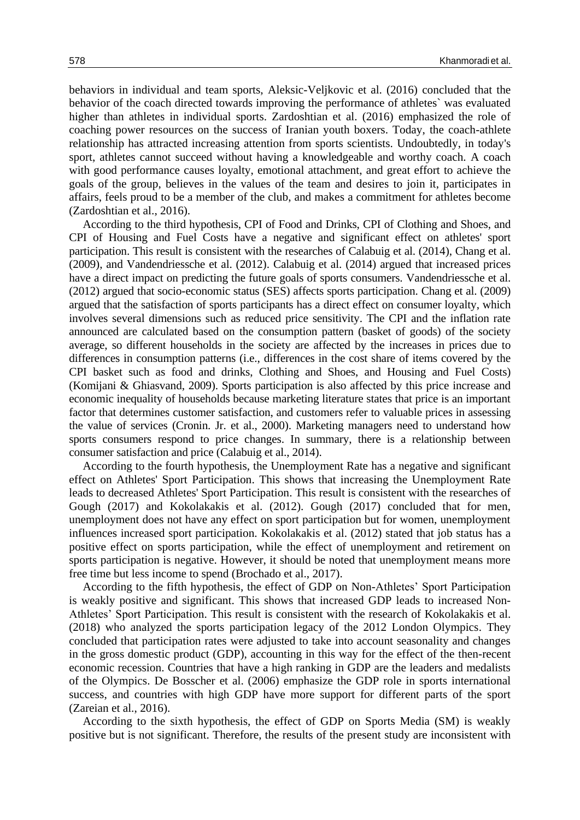behaviors in individual and team sports, Aleksic-Veljkovic et al. (2016) concluded that the behavior of the coach directed towards improving the performance of athletes` was evaluated higher than athletes in individual sports. Zardoshtian et al. (2016) emphasized the role of coaching power resources on the success of Iranian youth boxers. Today, the coach-athlete relationship has attracted increasing attention from sports scientists. Undoubtedly, in today's sport, athletes cannot succeed without having a knowledgeable and worthy coach. A coach with good performance causes loyalty, emotional attachment, and great effort to achieve the goals of the group, believes in the values of the team and desires to join it, participates in affairs, feels proud to be a member of the club, and makes a commitment for athletes become (Zardoshtian et al., 2016).

According to the third hypothesis, CPI of Food and Drinks, CPI of Clothing and Shoes, and CPI of Housing and Fuel Costs have a negative and significant effect on athletes' sport participation. This result is consistent with the researches of Calabuig et al. (2014), Chang et al. (2009), and Vandendriessche et al. (2012). Calabuig et al. (2014) argued that increased prices have a direct impact on predicting the future goals of sports consumers. Vandendriessche et al. (2012) argued that socio-economic status (SES) affects sports participation. Chang et al. (2009) argued that the satisfaction of sports participants has a direct effect on consumer loyalty, which involves several dimensions such as reduced price sensitivity. The CPI and the inflation rate announced are calculated based on the consumption pattern (basket of goods) of the society average, so different households in the society are affected by the increases in prices due to differences in consumption patterns (i.e., differences in the cost share of items covered by the CPI basket such as food and drinks, Clothing and Shoes, and Housing and Fuel Costs) (Komijani & Ghiasvand, 2009). Sports participation is also affected by this price increase and economic inequality of households because marketing literature states that price is an important factor that determines customer satisfaction, and customers refer to valuable prices in assessing the value of services (Cronin. Jr. et al., 2000). Marketing managers need to understand how sports consumers respond to price changes. In summary, there is a relationship between consumer satisfaction and price (Calabuig et al., 2014).

According to the fourth hypothesis, the Unemployment Rate has a negative and significant effect on Athletes' Sport Participation. This shows that increasing the Unemployment Rate leads to decreased Athletes' Sport Participation. This result is consistent with the researches of Gough (2017) and Kokolakakis et al. (2012). Gough (2017) concluded that for men, unemployment does not have any effect on sport participation but for women, unemployment influences increased sport participation. Kokolakakis et al. (2012) stated that job status has a positive effect on sports participation, while the effect of unemployment and retirement on sports participation is negative. However, it should be noted that unemployment means more free time but less income to spend (Brochado et al., 2017).

According to the fifth hypothesis, the effect of GDP on Non-Athletes' Sport Participation is weakly positive and significant. This shows that increased GDP leads to increased Non-Athletes' Sport Participation. This result is consistent with the research of Kokolakakis et al. (2018) who analyzed the sports participation legacy of the 2012 London Olympics. They concluded that participation rates were adjusted to take into account seasonality and changes in the gross domestic product (GDP), accounting in this way for the effect of the then-recent economic recession. Countries that have a high ranking in GDP are the leaders and medalists of the Olympics. De Bosscher et al. (2006) emphasize the GDP role in sports international success, and countries with high GDP have more support for different parts of the sport (Zareian et al., 2016).

According to the sixth hypothesis, the effect of GDP on Sports Media (SM) is weakly positive but is not significant. Therefore, the results of the present study are inconsistent with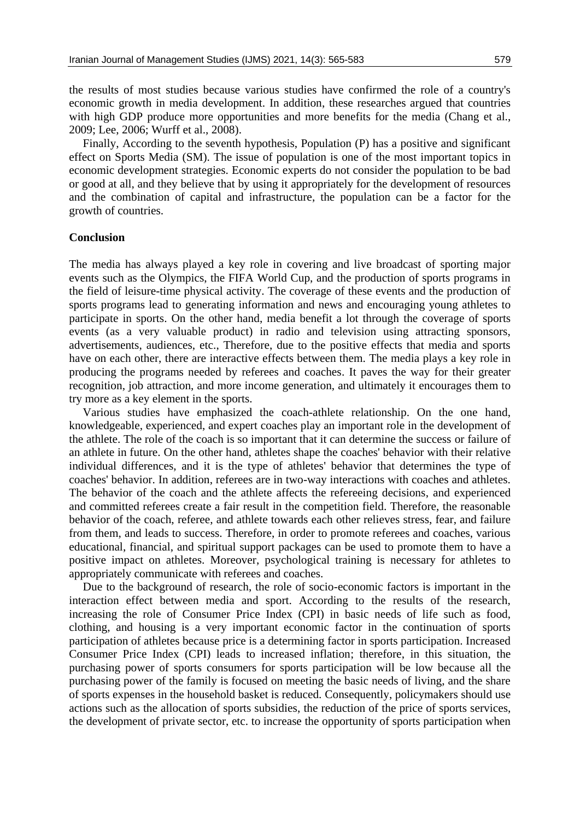the results of most studies because various studies have confirmed the role of a country's economic growth in media development. In addition, these researches argued that countries with high GDP produce more opportunities and more benefits for the media (Chang et al., 2009; Lee, 2006; Wurff et al., 2008).

Finally, According to the seventh hypothesis, Population (P) has a positive and significant effect on Sports Media (SM). The issue of population is one of the most important topics in economic development strategies. Economic experts do not consider the population to be bad or good at all, and they believe that by using it appropriately for the development of resources and the combination of capital and infrastructure, the population can be a factor for the growth of countries.

#### **Conclusion**

The media has always played a key role in covering and live broadcast of sporting major events such as the Olympics, the FIFA World Cup, and the production of sports programs in the field of leisure-time physical activity. The coverage of these events and the production of sports programs lead to generating information and news and encouraging young athletes to participate in sports. On the other hand, media benefit a lot through the coverage of sports events (as a very valuable product) in radio and television using attracting sponsors, advertisements, audiences, etc., Therefore, due to the positive effects that media and sports have on each other, there are interactive effects between them. The media plays a key role in producing the programs needed by referees and coaches. It paves the way for their greater recognition, job attraction, and more income generation, and ultimately it encourages them to try more as a key element in the sports.

Various studies have emphasized the coach-athlete relationship. On the one hand, knowledgeable, experienced, and expert coaches play an important role in the development of the athlete. The role of the coach is so important that it can determine the success or failure of an athlete in future. On the other hand, athletes shape the coaches' behavior with their relative individual differences, and it is the type of athletes' behavior that determines the type of coaches' behavior. In addition, referees are in two-way interactions with coaches and athletes. The behavior of the coach and the athlete affects the refereeing decisions, and experienced and committed referees create a fair result in the competition field. Therefore, the reasonable behavior of the coach, referee, and athlete towards each other relieves stress, fear, and failure from them, and leads to success. Therefore, in order to promote referees and coaches, various educational, financial, and spiritual support packages can be used to promote them to have a positive impact on athletes. Moreover, psychological training is necessary for athletes to appropriately communicate with referees and coaches.

Due to the background of research, the role of socio-economic factors is important in the interaction effect between media and sport. According to the results of the research, increasing the role of Consumer Price Index (CPI) in basic needs of life such as food, clothing, and housing is a very important economic factor in the continuation of sports participation of athletes because price is a determining factor in sports participation. Increased Consumer Price Index (CPI) leads to increased inflation; therefore, in this situation, the purchasing power of sports consumers for sports participation will be low because all the purchasing power of the family is focused on meeting the basic needs of living, and the share of sports expenses in the household basket is reduced. Consequently, policymakers should use actions such as the allocation of sports subsidies, the reduction of the price of sports services, the development of private sector, etc. to increase the opportunity of sports participation when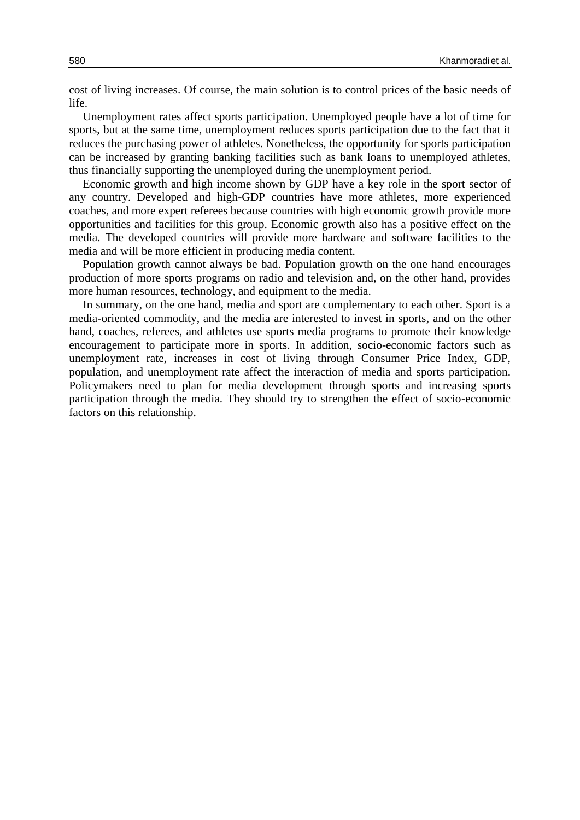cost of living increases. Of course, the main solution is to control prices of the basic needs of life.

Unemployment rates affect sports participation. Unemployed people have a lot of time for sports, but at the same time, unemployment reduces sports participation due to the fact that it reduces the purchasing power of athletes. Nonetheless, the opportunity for sports participation can be increased by granting banking facilities such as bank loans to unemployed athletes, thus financially supporting the unemployed during the unemployment period.

Economic growth and high income shown by GDP have a key role in the sport sector of any country. Developed and high-GDP countries have more athletes, more experienced coaches, and more expert referees because countries with high economic growth provide more opportunities and facilities for this group. Economic growth also has a positive effect on the media. The developed countries will provide more hardware and software facilities to the media and will be more efficient in producing media content.

Population growth cannot always be bad. Population growth on the one hand encourages production of more sports programs on radio and television and, on the other hand, provides more human resources, technology, and equipment to the media.

In summary, on the one hand, media and sport are complementary to each other. Sport is a media-oriented commodity, and the media are interested to invest in sports, and on the other hand, coaches, referees, and athletes use sports media programs to promote their knowledge encouragement to participate more in sports. In addition, socio-economic factors such as unemployment rate, increases in cost of living through Consumer Price Index, GDP, population, and unemployment rate affect the interaction of media and sports participation. Policymakers need to plan for media development through sports and increasing sports participation through the media. They should try to strengthen the effect of socio-economic factors on this relationship.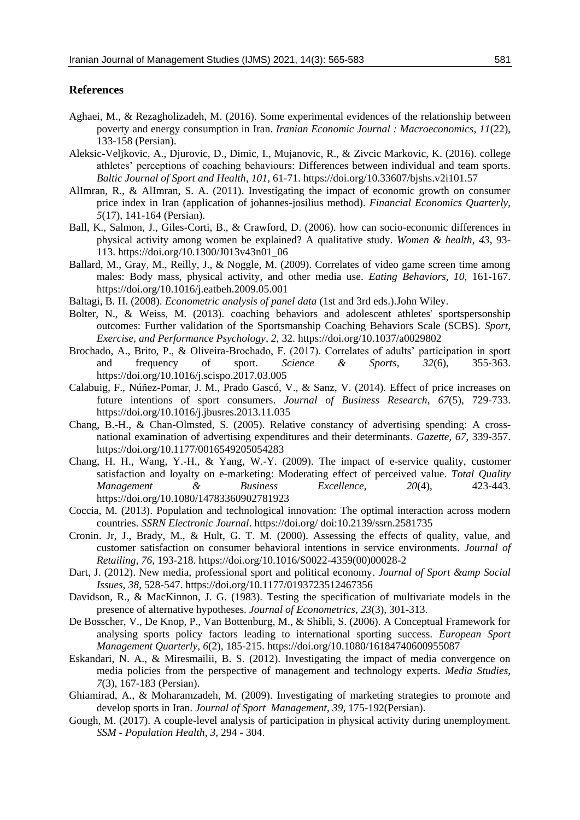# **References**

- Aghaei, M., & Rezagholizadeh, M. (2016). Some experimental evidences of the relationship between poverty and energy consumption in Iran. *Iranian Economic Journal : Macroeconomics*, *11*(22), 133-158 (Persian).
- Aleksic-Veljkovic, A., Djurovic, D., Dimic, I., Mujanovic, R., & Zivcic Markovic, K. (2016). college athletes' perceptions of coaching behaviours: Differences between individual and team sports. *Baltic Journal of Sport and Health*, *101*, 61-71. https://doi.org/10.33607/bjshs.v2i101.57
- AlImran, R., & AlImran, S. A. (2011). Investigating the impact of economic growth on consumer price index in Iran (application of johannes-josilius method). *Financial Economics Quarterly*, *5*(17), 141-164 (Persian).
- Ball, K., Salmon, J., Giles-Corti, B., & Crawford, D. (2006). how can socio-economic differences in physical activity among women be explained? A qualitative study. *Women & health*, *43*, 93- 113. https://doi.org/10.1300/J013v43n01\_06
- Ballard, M., Gray, M., Reilly, J., & Noggle, M. (2009). Correlates of video game screen time among males: Body mass, physical activity, and other media use. *Eating Behaviors*, *10*, 161-167. https://doi.org/10.1016/j.eatbeh.2009.05.001
- Baltagi, B. H. (2008). *Econometric analysis of panel data* (1st and 3rd eds.).John Wiley.
- Bolter, N., & Weiss, M. (2013). coaching behaviors and adolescent athletes' sportspersonship outcomes: Further validation of the Sportsmanship Coaching Behaviors Scale (SCBS). *Sport, Exercise, and Performance Psychology*, *2*, 32. https://doi.org/10.1037/a0029802
- Brochado, A., Brito, P., & Oliveira-Brochado, F. (2017). Correlates of adults' participation in sport and frequency of sport. *Science & Sports*, *32*(6), 355-363. https://doi.org/10.1016/j.scispo.2017.03.005
- Calabuig, F., Núñez-Pomar, J. M., Prado Gascó, V., & Sanz, V. (2014). Effect of price increases on future intentions of sport consumers. *Journal of Business Research*, *67*(5), 729-733. https://doi.org/10.1016/j.jbusres.2013.11.035
- Chang, B.-H., & Chan-Olmsted, S. (2005). Relative constancy of advertising spending: A crossnational examination of advertising expenditures and their determinants. *Gazette*, *67*, 339-357. https://doi.org/10.1177/0016549205054283
- Chang, H. H., Wang, Y.-H., & Yang, W.-Y. (2009). The impact of e-service quality, customer satisfaction and loyalty on e-marketing: Moderating effect of perceived value. *Total Quality Management & Business Excellence*, *20*(4), 423-443. https://doi.org/10.1080/14783360902781923
- Coccia, M. (2013). Population and technological innovation: The optimal interaction across modern countries. *SSRN Electronic Journal*. https://doi.org/ doi:10.2139/ssrn.2581735
- Cronin. Jr, J., Brady, M., & Hult, G. T. M. (2000). Assessing the effects of quality, value, and customer satisfaction on consumer behavioral intentions in service environments. *Journal of Retailing*, *76*, 193-218. https://doi.org/10.1016/S0022-4359(00)00028-2
- Dart, J. (2012). New media, professional sport and political economy. *Journal of Sport & amp Social Issues*, *38*, 528-547. https://doi.org/10.1177/0193723512467356
- Davidson, R., & MacKinnon, J. G. (1983). Testing the specification of multivariate models in the presence of alternative hypotheses. *Journal of Econometrics*, *23*(3), 301-313.
- De Bosscher, V., De Knop, P., Van Bottenburg, M., & Shibli, S. (2006). A Conceptual Framework for analysing sports policy factors leading to international sporting success. *European Sport Management Quarterly*, *6*(2), 185-215. https://doi.org/10.1080/16184740600955087
- Eskandari, N. A., & Miresmailii, B. S. (2012). Investigating the impact of media convergence on media policies from the perspective of management and technology experts. *Media Studies*, *7*(3), 167-183 (Persian).
- Ghiamirad, A., & Moharamzadeh, M. (2009). Investigating of marketing strategies to promote and develop sports in Iran. *Journal of Sport Management*, *39*, 175-192(Persian).
- Gough, M. (2017). A couple-level analysis of participation in physical activity during unemployment. *SSM - Population Health*, *3*, 294 - 304.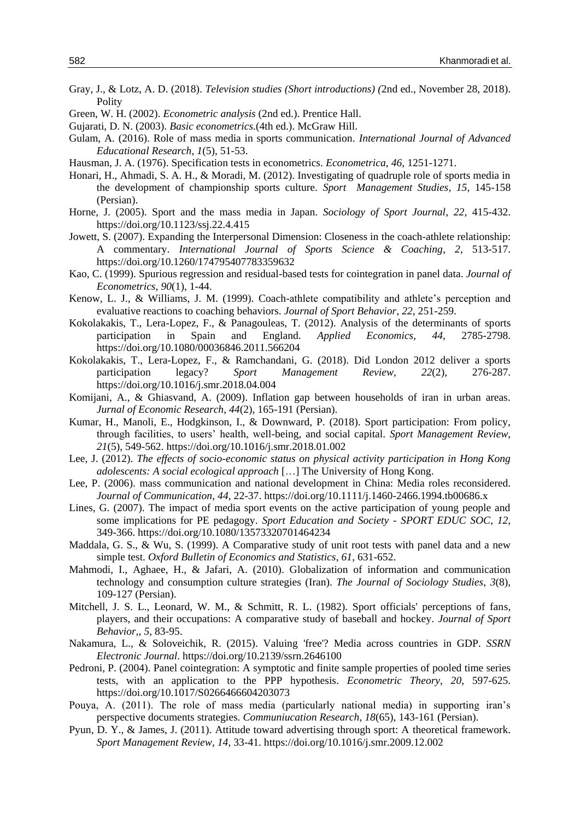- Gray, J., & Lotz, A. D. (2018). *Television studies (Short introductions) (*2nd ed., November 28, 2018). Polity
- Green, W. H. (2002). *Econometric analysis* (2nd ed.). Prentice Hall.
- Gujarati, D. N. (2003). *Basic econometrics*.(4th ed.). McGraw Hill.
- Gulam, A. (2016). Role of mass media in sports communication. *International Journal of Advanced Educational Research*, *1*(5), 51-53.
- Hausman, J. A. (1976). Specification tests in econometrics. *Econometrica*, *46*, 1251-1271.
- Honari, H., Ahmadi, S. A. H., & Moradi, M. (2012). Investigating of quadruple role of sports media in the development of championship sports culture. *Sport Management Studies*, *15*, 145-158 (Persian).
- Horne, J. (2005). Sport and the mass media in Japan. *Sociology of Sport Journal*, *22*, 415-432. https://doi.org/10.1123/ssj.22.4.415
- Jowett, S. (2007). Expanding the Interpersonal Dimension: Closeness in the coach-athlete relationship: A commentary. *International Journal of Sports Science & Coaching*, *2*, 513-517. https://doi.org/10.1260/174795407783359632
- Kao, C. (1999). Spurious regression and residual-based tests for cointegration in panel data. *Journal of Econometrics*, *90*(1), 1-44.
- Kenow, L. J., & Williams, J. M. (1999). Coach-athlete compatibility and athlete's perception and evaluative reactions to coaching behaviors. *Journal of Sport Behavior*, *22*, 251-259.
- Kokolakakis, T., Lera-Lopez, F., & Panagouleas, T. (2012). Analysis of the determinants of sports participation in Spain and England. *Applied Economics*, *44*, 2785-2798. https://doi.org/10.1080/00036846.2011.566204
- Kokolakakis, T., Lera-Lopez, F., & Ramchandani, G. (2018). Did London 2012 deliver a sports participation legacy? *Sport Management Review*, *22*(2), 276-287. https://doi.org/10.1016/j.smr.2018.04.004
- Komijani, A., & Ghiasvand, A. (2009). Inflation gap between households of iran in urban areas. *Jurnal of Economic Research*, *44*(2), 165-191 (Persian).
- Kumar, H., Manoli, E., Hodgkinson, I., & Downward, P. (2018). Sport participation: From policy, through facilities, to users' health, well-being, and social capital. *Sport Management Review*, *21*(5), 549-562. https://doi.org/10.1016/j.smr.2018.01.002
- Lee, J. (2012). *The effects of socio-economic status on physical activity participation in Hong Kong adolescents: A social ecological approach* […] The University of Hong Kong.
- Lee, P. (2006). mass communication and national development in China: Media roles reconsidered. *Journal of Communication*, *44*, 22-37. https://doi.org/10.1111/j.1460-2466.1994.tb00686.x
- Lines, G. (2007). The impact of media sport events on the active participation of young people and some implications for PE pedagogy. *Sport Education and Society - SPORT EDUC SOC*, *12*, 349-366. https://doi.org/10.1080/13573320701464234
- Maddala, G. S., & Wu, S. (1999). A Comparative study of unit root tests with panel data and a new simple test. *Oxford Bulletin of Economics and Statistics*, *61*, 631-652.
- Mahmodi, I., Aghaee, H., & Jafari, A. (2010). Globalization of information and communication technology and consumption culture strategies (Iran). *The Journal of Sociology Studies*, *3*(8), 109-127 (Persian).
- Mitchell, J. S. L., Leonard, W. M., & Schmitt, R. L. (1982). Sport officials' perceptions of fans, players, and their occupations: A comparative study of baseball and hockey. *Journal of Sport Behavior,*, *5*, 83-95.
- Nakamura, L., & Soloveichik, R. (2015). Valuing 'free'? Media across countries in GDP. *SSRN Electronic Journal*. https://doi.org/10.2139/ssrn.2646100
- Pedroni, P. (2004). Panel cointegration: A symptotic and finite sample properties of pooled time series tests, with an application to the PPP hypothesis. *Econometric Theory*, *20*, 597-625. https://doi.org/10.1017/S0266466604203073
- Pouya, A. (2011). The role of mass media (particularly national media) in supporting iran's perspective documents strategies. *Communiucation Research*, *18*(65), 143-161 (Persian).
- Pyun, D. Y., & James, J. (2011). Attitude toward advertising through sport: A theoretical framework. *Sport Management Review*, *14*, 33-41. https://doi.org/10.1016/j.smr.2009.12.002